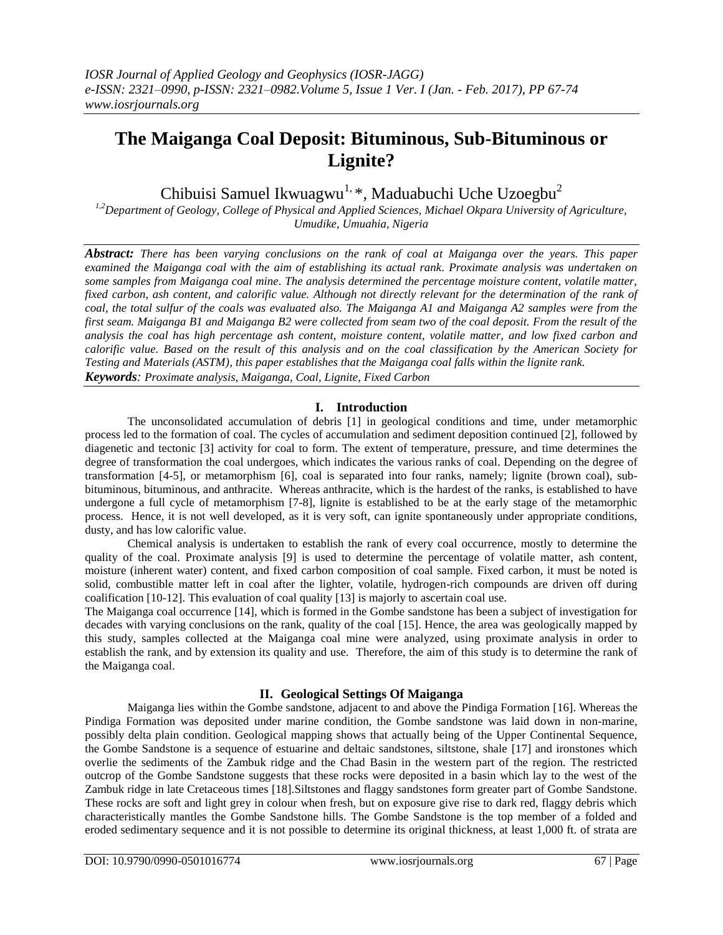# **The Maiganga Coal Deposit: Bituminous, Sub-Bituminous or Lignite?**

Chibuisi Samuel Ikwuagwu<sup>1, \*</sup>, Maduabuchi Uche Uzoegbu<sup>2</sup>

*1,2Department of Geology, College of Physical and Applied Sciences, Michael Okpara University of Agriculture, Umudike, Umuahia, Nigeria*

*Abstract: There has been varying conclusions on the rank of coal at Maiganga over the years. This paper examined the Maiganga coal with the aim of establishing its actual rank. Proximate analysis was undertaken on some samples from Maiganga coal mine. The analysis determined the percentage moisture content, volatile matter,*  fixed carbon, ash content, and calorific value. Although not directly relevant for the determination of the rank of *coal, the total sulfur of the coals was evaluated also. The Maiganga A1 and Maiganga A2 samples were from the first seam. Maiganga B1 and Maiganga B2 were collected from seam two of the coal deposit. From the result of the analysis the coal has high percentage ash content, moisture content, volatile matter, and low fixed carbon and calorific value. Based on the result of this analysis and on the coal classification by the American Society for Testing and Materials (ASTM), this paper establishes that the Maiganga coal falls within the lignite rank. Keywords: Proximate analysis, Maiganga, Coal, Lignite, Fixed Carbon* 

# **I. Introduction**

The unconsolidated accumulation of debris [1] in geological conditions and time, under metamorphic process led to the formation of coal. The cycles of accumulation and sediment deposition continued [2], followed by diagenetic and tectonic [3] activity for coal to form. The extent of temperature, pressure, and time determines the degree of transformation the coal undergoes, which indicates the various ranks of coal. Depending on the degree of transformation [4-5], or metamorphism [6], coal is separated into four ranks, namely; lignite (brown coal), subbituminous, bituminous, and anthracite. Whereas anthracite, which is the hardest of the ranks, is established to have undergone a full cycle of metamorphism [7-8], lignite is established to be at the early stage of the metamorphic process. Hence, it is not well developed, as it is very soft, can ignite spontaneously under appropriate conditions, dusty, and has low calorific value.

Chemical analysis is undertaken to establish the rank of every coal occurrence, mostly to determine the quality of the coal. Proximate analysis [9] is used to determine the percentage of volatile matter, ash content, moisture (inherent water) content, and fixed carbon composition of coal sample. Fixed carbon, it must be noted is solid, combustible matter left in coal after the lighter, volatile, hydrogen-rich compounds are driven off during coalification [10-12]. This evaluation of coal quality [13] is majorly to ascertain coal use.

The Maiganga coal occurrence [14], which is formed in the Gombe sandstone has been a subject of investigation for decades with varying conclusions on the rank, quality of the coal [15]. Hence, the area was geologically mapped by this study, samples collected at the Maiganga coal mine were analyzed, using proximate analysis in order to establish the rank, and by extension its quality and use. Therefore, the aim of this study is to determine the rank of the Maiganga coal.

# **II. Geological Settings Of Maiganga**

Maiganga lies within the Gombe sandstone, adjacent to and above the Pindiga Formation [16]. Whereas the Pindiga Formation was deposited under marine condition, the Gombe sandstone was laid down in non-marine, possibly delta plain condition. Geological mapping shows that actually being of the Upper Continental Sequence, the Gombe Sandstone is a sequence of estuarine and deltaic sandstones, siltstone, shale [17] and ironstones which overlie the sediments of the Zambuk ridge and the Chad Basin in the western part of the region. The restricted outcrop of the Gombe Sandstone suggests that these rocks were deposited in a basin which lay to the west of the Zambuk ridge in late Cretaceous times [18].Siltstones and flaggy sandstones form greater part of Gombe Sandstone. These rocks are soft and light grey in colour when fresh, but on exposure give rise to dark red, flaggy debris which characteristically mantles the Gombe Sandstone hills. The Gombe Sandstone is the top member of a folded and eroded sedimentary sequence and it is not possible to determine its original thickness, at least 1,000 ft. of strata are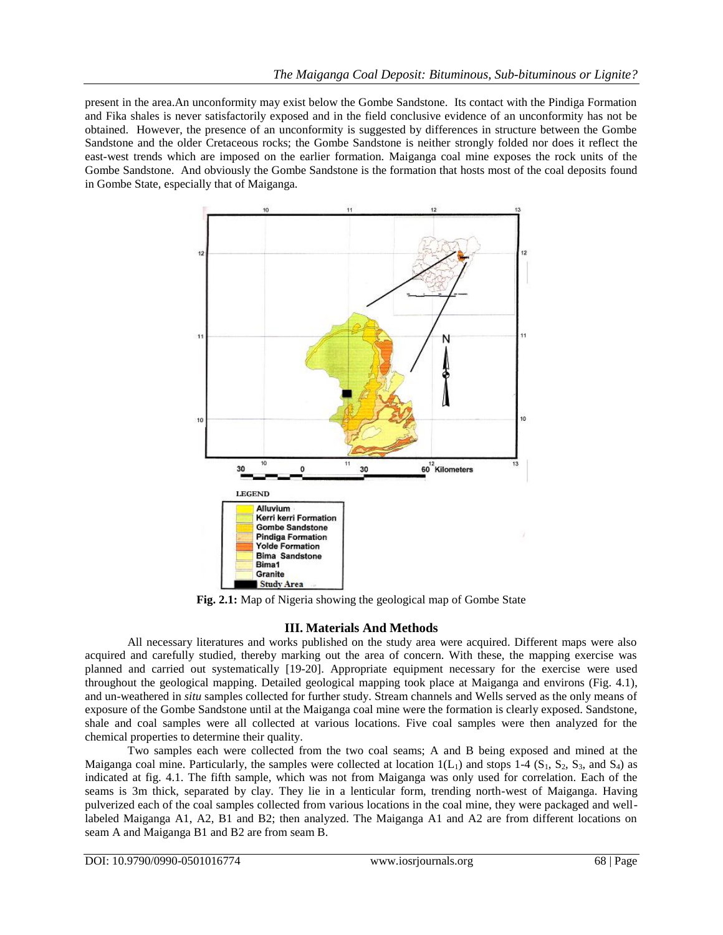present in the area.An unconformity may exist below the Gombe Sandstone. Its contact with the Pindiga Formation and Fika shales is never satisfactorily exposed and in the field conclusive evidence of an unconformity has not be obtained. However, the presence of an unconformity is suggested by differences in structure between the Gombe Sandstone and the older Cretaceous rocks; the Gombe Sandstone is neither strongly folded nor does it reflect the east-west trends which are imposed on the earlier formation. Maiganga coal mine exposes the rock units of the Gombe Sandstone. And obviously the Gombe Sandstone is the formation that hosts most of the coal deposits found in Gombe State, especially that of Maiganga.



**Fig. 2.1:** Map of Nigeria showing the geological map of Gombe State

#### **III. Materials And Methods**

All necessary literatures and works published on the study area were acquired. Different maps were also acquired and carefully studied, thereby marking out the area of concern. With these, the mapping exercise was planned and carried out systematically [19-20]. Appropriate equipment necessary for the exercise were used throughout the geological mapping. Detailed geological mapping took place at Maiganga and environs (Fig. 4.1), and un-weathered in *situ* samples collected for further study. Stream channels and Wells served as the only means of exposure of the Gombe Sandstone until at the Maiganga coal mine were the formation is clearly exposed. Sandstone, shale and coal samples were all collected at various locations. Five coal samples were then analyzed for the chemical properties to determine their quality.

Two samples each were collected from the two coal seams; A and B being exposed and mined at the Maiganga coal mine. Particularly, the samples were collected at location  $1(L_1)$  and stops 1-4 (S<sub>1</sub>, S<sub>2</sub>, S<sub>3</sub>, and S<sub>4</sub>) as indicated at fig. 4.1. The fifth sample, which was not from Maiganga was only used for correlation. Each of the seams is 3m thick, separated by clay. They lie in a lenticular form, trending north-west of Maiganga. Having pulverized each of the coal samples collected from various locations in the coal mine, they were packaged and welllabeled Maiganga A1, A2, B1 and B2; then analyzed. The Maiganga A1 and A2 are from different locations on seam A and Maiganga B1 and B2 are from seam B.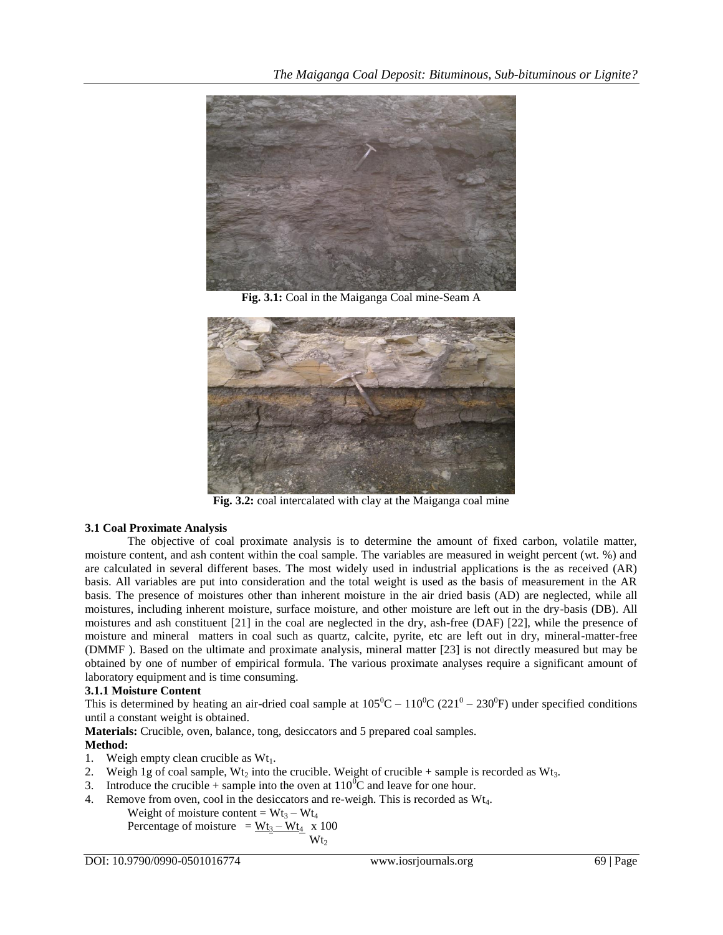

**Fig. 3.1:** Coal in the Maiganga Coal mine-Seam A



**Fig. 3.2:** coal intercalated with clay at the Maiganga coal mine

# **3.1 Coal Proximate Analysis**

The objective of coal proximate analysis is to determine the amount of fixed carbon, volatile matter, moisture content, and ash content within the coal sample. The variables are measured in weight percent (wt. %) and are calculated in several different bases. The most widely used in industrial applications is the as received (AR) basis. All variables are put into consideration and the total weight is used as the basis of measurement in the AR basis. The presence of moistures other than inherent moisture in the air dried basis (AD) are neglected, while all moistures, including inherent moisture, surface moisture, and other moisture are left out in the dry-basis (DB). All moistures and ash constituent [21] in the coal are neglected in the dry, ash-free (DAF) [22], while the presence of moisture and mineral matters in coal such as quartz, calcite, pyrite, etc are left out in dry, mineral-matter-free (DMMF ). Based on the ultimate and proximate analysis, mineral matter [23] is not directly measured but may be obtained by one of number of empirical formula. The various proximate analyses require a significant amount of laboratory equipment and is time consuming.

# **3.1.1 Moisture Content**

This is determined by heating an air-dried coal sample at  $105^0C - 110^0C (221^0 - 230^0F)$  under specified conditions until a constant weight is obtained.

**Materials:** Crucible, oven, balance, tong, desiccators and 5 prepared coal samples.

# **Method:**

- 1. Weigh empty clean crucible as  $Wt_1$ .
- 2. Weigh 1g of coal sample, Wt<sub>2</sub> into the crucible. Weight of crucible + sample is recorded as Wt<sub>3</sub>.
- 3. Introduce the crucible + sample into the oven at  $110^0C$  and leave for one hour.
- 4. Remove from oven, cool in the desiccators and re-weigh. This is recorded as Wt4.

Weight of moisture content =  $Wt_3 - Wt_4$ Percentage of moisture =  $Wt_3 - Wt_4$  x 100  $Wt<sub>2</sub>$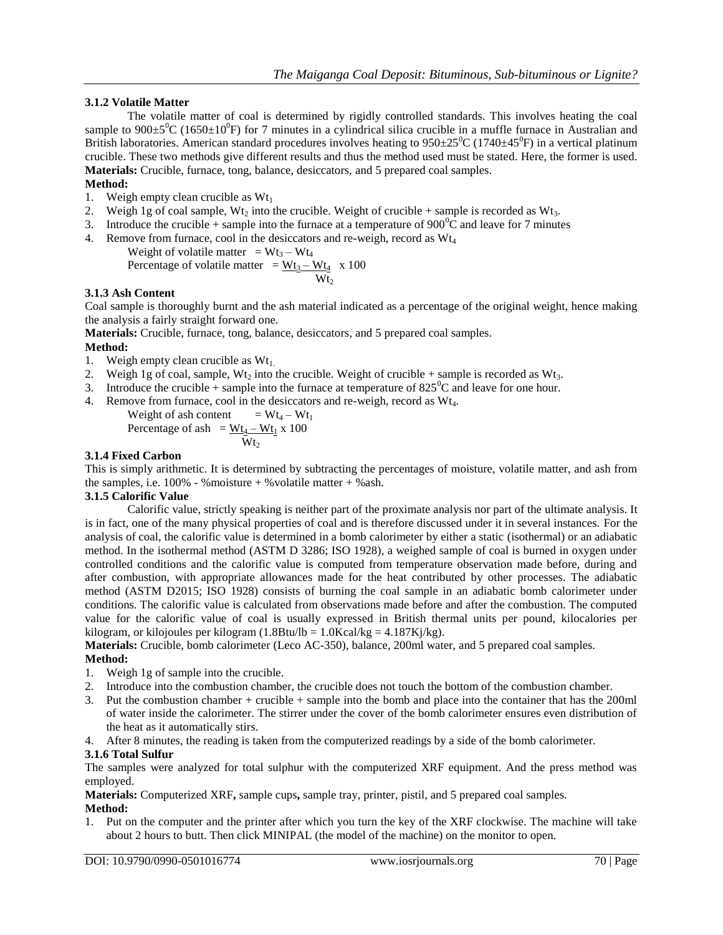## **3.1.2 Volatile Matter**

The volatile matter of coal is determined by rigidly controlled standards. This involves heating the coal sample to  $900\pm5\text{°C}$  (1650 $\pm10\text{°F}$ ) for 7 minutes in a cylindrical silica crucible in a muffle furnace in Australian and British laboratories. American standard procedures involves heating to  $950\pm25\text{°C}$  (1740 $\pm45\text{°F}$ ) in a vertical platinum crucible. These two methods give different results and thus the method used must be stated. Here, the former is used. **Materials:** Crucible, furnace, tong, balance, desiccators, and 5 prepared coal samples.

## **Method:**

- 1. Weigh empty clean crucible as  $Wt_1$
- 2. Weigh 1g of coal sample, Wt<sub>2</sub> into the crucible. Weight of crucible + sample is recorded as Wt<sub>3</sub>.
- 3. Introduce the crucible + sample into the furnace at a temperature of  $900^{\circ}$ C and leave for 7 minutes
- 4. Remove from furnace, cool in the desiccators and re-weigh, record as  $Wt_4$ 
	- Weight of volatile matter =  $Wt_3 Wt_4$ Percentage of volatile matter  $=\underline{Wt_3 - Wt_4}$  x 100  $Wt<sub>2</sub>$

#### **3.1.3 Ash Content**

Coal sample is thoroughly burnt and the ash material indicated as a percentage of the original weight, hence making the analysis a fairly straight forward one.

**Materials:** Crucible, furnace, tong, balance, desiccators, and 5 prepared coal samples.

# **Method:**

- 1. Weigh empty clean crucible as  $Wt_1$ .
- 2. Weigh 1g of coal, sample, Wt<sub>2</sub> into the crucible. Weight of crucible + sample is recorded as Wt<sub>3</sub>.
- 3. Introduce the crucible + sample into the furnace at temperature of  $825^{\circ}$ C and leave for one hour.
- 4. Remove from furnace, cool in the desiccators and re-weigh, record as Wt<sub>4</sub>.

Weight of ash content = Wt<sub>4</sub> – Wt<sub>1</sub>  
Percentage of ash = 
$$
\frac{Wt_4 - Wt_1}{Wt_2}
$$
 x 100

## **3.1.4 Fixed Carbon**

This is simply arithmetic. It is determined by subtracting the percentages of moisture, volatile matter, and ash from the samples, i.e.  $100\%$  - %moisture + % volatile matter + % ash.

#### **3.1.5 Calorific Value**

Calorific value, strictly speaking is neither part of the proximate analysis nor part of the ultimate analysis. It is in fact, one of the many physical properties of coal and is therefore discussed under it in several instances. For the analysis of coal, the calorific value is determined in a bomb calorimeter by either a static (isothermal) or an adiabatic method. In the isothermal method (ASTM D 3286; ISO 1928), a weighed sample of coal is burned in oxygen under controlled conditions and the calorific value is computed from temperature observation made before, during and after combustion, with appropriate allowances made for the heat contributed by other processes. The adiabatic method (ASTM D2015; ISO 1928) consists of burning the coal sample in an adiabatic bomb calorimeter under conditions. The calorific value is calculated from observations made before and after the combustion. The computed value for the calorific value of coal is usually expressed in British thermal units per pound, kilocalories per kilogram, or kilojoules per kilogram (1.8Btu/lb =  $1.0$ Kcal/kg =  $4.187$ Kj/kg).

**Materials:** Crucible, bomb calorimeter (Leco AC-350), balance, 200ml water, and 5 prepared coal samples. **Method:**

- 1. Weigh 1g of sample into the crucible.
- 2. Introduce into the combustion chamber, the crucible does not touch the bottom of the combustion chamber.
- 3. Put the combustion chamber + crucible + sample into the bomb and place into the container that has the 200ml of water inside the calorimeter. The stirrer under the cover of the bomb calorimeter ensures even distribution of the heat as it automatically stirs.

4. After 8 minutes, the reading is taken from the computerized readings by a side of the bomb calorimeter.

#### **3.1.6 Total Sulfur**

The samples were analyzed for total sulphur with the computerized XRF equipment. And the press method was employed.

**Materials:** Computerized XRF**,** sample cups**,** sample tray, printer, pistil, and 5 prepared coal samples.

#### **Method:**

1. Put on the computer and the printer after which you turn the key of the XRF clockwise. The machine will take about 2 hours to butt. Then click MINIPAL (the model of the machine) on the monitor to open.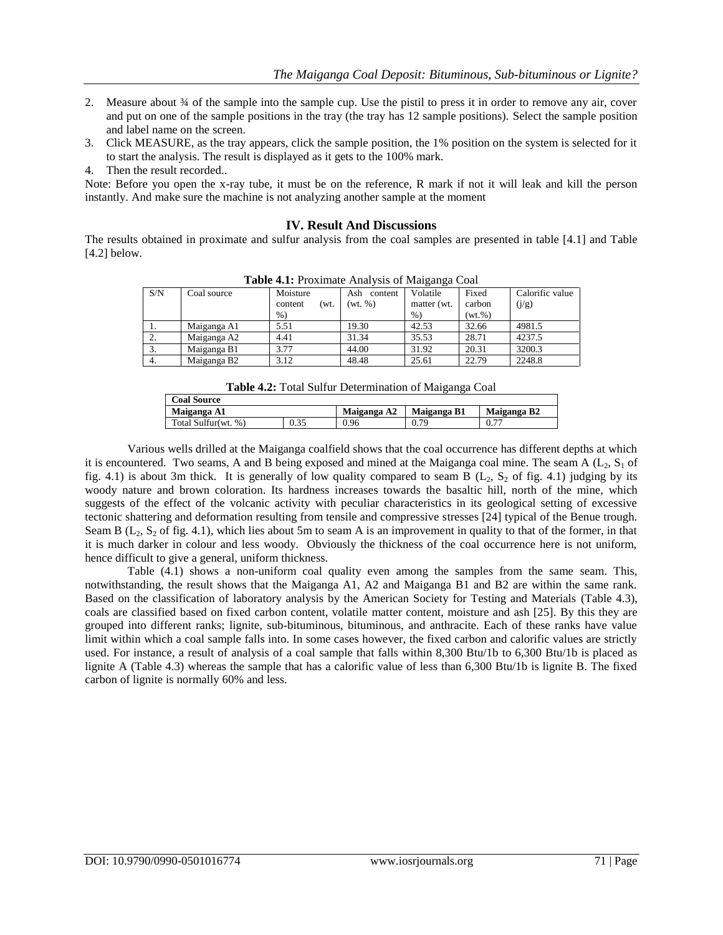- 2. Measure about  $\frac{3}{4}$  of the sample into the sample cup. Use the pistil to press it in order to remove any air, cover and put on one of the sample positions in the tray (the tray has 12 sample positions). Select the sample position and label name on the screen.
- 3. Click MEASURE, as the tray appears, click the sample position, the 1% position on the system is selected for it to start the analysis. The result is displayed as it gets to the 100% mark.
- 4. Then the result recorded..

Note: Before you open the x-ray tube, it must be on the reference, R mark if not it will leak and kill the person instantly. And make sure the machine is not analyzing another sample at the moment

#### **IV. Result And Discussions**

The results obtained in proximate and sulfur analysis from the coal samples are presented in table [4.1] and Table [4.2] below.

| <b>THOIC</b> THE LIGALIMING THIM FOLD OF ITHINGHIGH COME |             |                 |                |             |        |                 |
|----------------------------------------------------------|-------------|-----------------|----------------|-------------|--------|-----------------|
| S/N                                                      | Coal source | Moisture        | Ash<br>content | Volatile    | Fixed  | Calorific value |
|                                                          |             | content<br>′wt. | (wt, %)        | matter (wt. | carbon | (j/g)           |
|                                                          |             | $%$ )           |                | $\%$        | (wt.%) |                 |
| 1.                                                       | Maiganga A1 | 5.51            | 19.30          | 42.53       | 32.66  | 4981.5          |
| 2.                                                       | Maiganga A2 | 4.41            | 31.34          | 35.53       | 28.71  | 4237.5          |
| 3.                                                       | Maiganga B1 | 3.77            | 44.00          | 31.92       | 20.31  | 3200.3          |
| 4.                                                       | Maiganga B2 | 3.12            | 48.48          | 25.61       | 22.79  | 2248.8          |

**Table 4.1:** Proximate Analysis of Maiganga Coal

| Table 4.2: Total Sulfur Determination of Maiganga Coal |  |
|--------------------------------------------------------|--|
|                                                        |  |

| <b>Coal Source</b>  |             |             |             |           |  |  |
|---------------------|-------------|-------------|-------------|-----------|--|--|
| Maiganga A1         | Maiganga A2 | Maiganga B1 | Maiganga B2 |           |  |  |
| Total Sulfur(wt. %) | 0.35        | 0.96        | 0.79        | $0.7^{-}$ |  |  |

Various wells drilled at the Maiganga coalfield shows that the coal occurrence has different depths at which it is encountered. Two seams, A and B being exposed and mined at the Maiganga coal mine. The seam A ( $L_2$ ,  $S_1$  of fig. 4.1) is about 3m thick. It is generally of low quality compared to seam B  $(L_2, S_2$  of fig. 4.1) judging by its woody nature and brown coloration. Its hardness increases towards the basaltic hill, north of the mine, which suggests of the effect of the volcanic activity with peculiar characteristics in its geological setting of excessive tectonic shattering and deformation resulting from tensile and compressive stresses [24] typical of the Benue trough. Seam B ( $L_2$ ,  $S_2$  of fig. 4.1), which lies about 5m to seam A is an improvement in quality to that of the former, in that it is much darker in colour and less woody. Obviously the thickness of the coal occurrence here is not uniform, hence difficult to give a general, uniform thickness.

Table (4.1) shows a non-uniform coal quality even among the samples from the same seam. This, notwithstanding, the result shows that the Maiganga A1, A2 and Maiganga B1 and B2 are within the same rank. Based on the classification of laboratory analysis by the American Society for Testing and Materials (Table 4.3), coals are classified based on fixed carbon content, volatile matter content, moisture and ash [25]. By this they are grouped into different ranks; lignite, sub-bituminous, bituminous, and anthracite. Each of these ranks have value limit within which a coal sample falls into. In some cases however, the fixed carbon and calorific values are strictly used. For instance, a result of analysis of a coal sample that falls within 8,300 Btu/1b to 6,300 Btu/1b is placed as lignite A (Table 4.3) whereas the sample that has a calorific value of less than 6,300 Btu/1b is lignite B. The fixed carbon of lignite is normally 60% and less.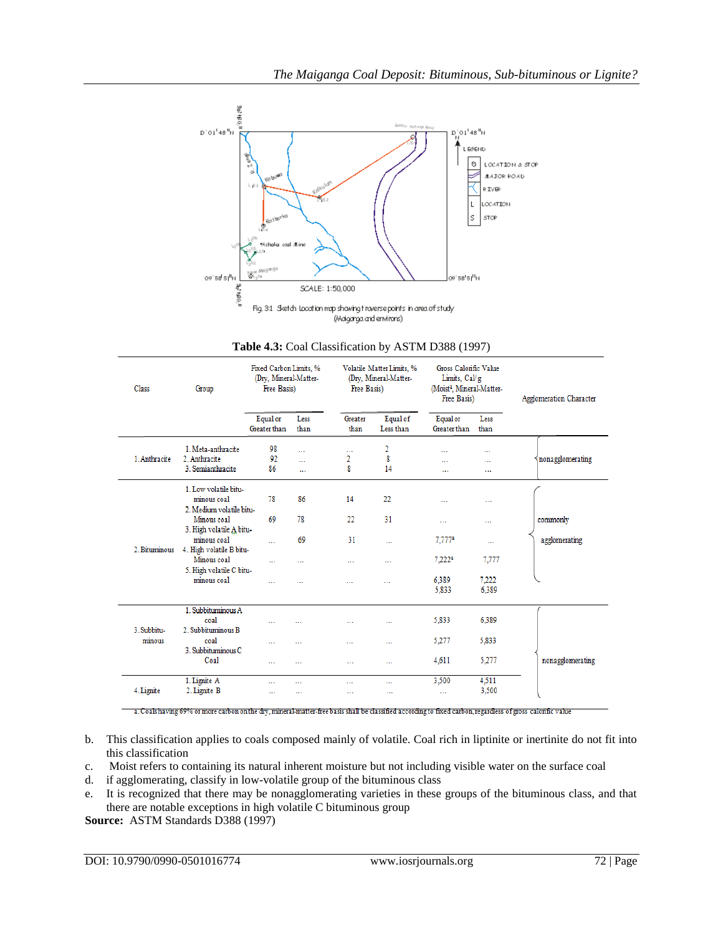

| Class         | Group                                                            | Fixed Carbon Limits, %<br>(Dry, Mineral-Matter-<br>Free Basis) |              | Volatile Matter Limits, %<br>(Dry, Mineral-Matter-<br>Free Basis) |                       | Gross Calorific Value<br>Limits, Cal/g<br>(Moist <sup>a</sup> , Mineral-Matter-<br>Free Basis) |                | <b>Agglomeration Character</b> |
|---------------|------------------------------------------------------------------|----------------------------------------------------------------|--------------|-------------------------------------------------------------------|-----------------------|------------------------------------------------------------------------------------------------|----------------|--------------------------------|
|               |                                                                  | Equal or<br>Greater than                                       | Less<br>than | Greater<br>than                                                   | Equal of<br>Less than | Equalor<br>Greater than                                                                        | Less<br>than   |                                |
| 1. Anthracite | 1. Meta-anthracite<br>2. Anthracite                              | 98<br>92                                                       | $\cdots$<br> | <br>2                                                             | 2<br>8                | $\overline{a}$<br>                                                                             | <br>.          | nonagglomerating               |
|               | 3. Semianthracite                                                | 86                                                             | $\ddotsc$    | 8                                                                 | 14                    | $\ddotsc$                                                                                      | $\cdots$       |                                |
|               | 1. Low volatile bitu-<br>minous coal<br>2. Medium volatile bitu- | 78                                                             | 86           | 14                                                                | 22                    |                                                                                                | $\cdots$       |                                |
|               | Minous coal<br>3. High volatile A bitu-                          | 69                                                             | 78           | 22                                                                | 31                    | $\cdots$                                                                                       |                | commonly                       |
| 2. Bituminous | minous coal<br>4. High volatile B bitu-                          | $\sim$                                                         | 69           | 31                                                                |                       | 7,777ª                                                                                         |                | agglomerating                  |
|               | Minous coal<br>5. High volatile C bitu-<br>minous coal           | $\ddotsc$                                                      |              |                                                                   | $\ddotsc$             | 7,222ª                                                                                         | 7,777          |                                |
|               |                                                                  | $\sim$                                                         |              | $\sim$                                                            | $\cdots$              | 6.389<br>5,833                                                                                 | 7.222<br>6,389 |                                |
| 3. Subbitu-   | 1. Subbituminous A<br>coal<br>2. Subbituminous B                 | $\cdots$                                                       |              |                                                                   |                       | 5,833                                                                                          | 6.389          |                                |
| minous        | coal<br>3. Subbituminous C                                       | $\cdots$                                                       |              | $\cdots$                                                          |                       | 5,277                                                                                          | 5,833          |                                |
|               | Coal                                                             | $\cdots$                                                       |              | $\cdots$                                                          | $\cdots$              | 4,611                                                                                          | 5,277          | nonagglomerating               |
| 4. Lignite    | 1. Lignite A<br>2. Lignite B                                     | $\cdots$<br>                                                   | <br>$\cdots$ | $\cdots$<br>                                                      | <br>                  | 3,500<br>$\cdots$                                                                              | 4,511<br>3,500 |                                |

**Table 4.3:** Coal Classification by ASTM D388 (1997)

a. Coals having 69% or more carbon on the dry, mineral-matter-free basis shall be classified according to fixed carbon, regardless of gross calonfic value

- b. This classification applies to coals composed mainly of volatile. Coal rich in liptinite or inertinite do not fit into this classification
- c. Moist refers to containing its natural inherent moisture but not including visible water on the surface coal
- d. if agglomerating, classify in low-volatile group of the bituminous class
- e. It is recognized that there may be nonagglomerating varieties in these groups of the bituminous class, and that there are notable exceptions in high volatile C bituminous group

**Source:** ASTM Standards D388 (1997)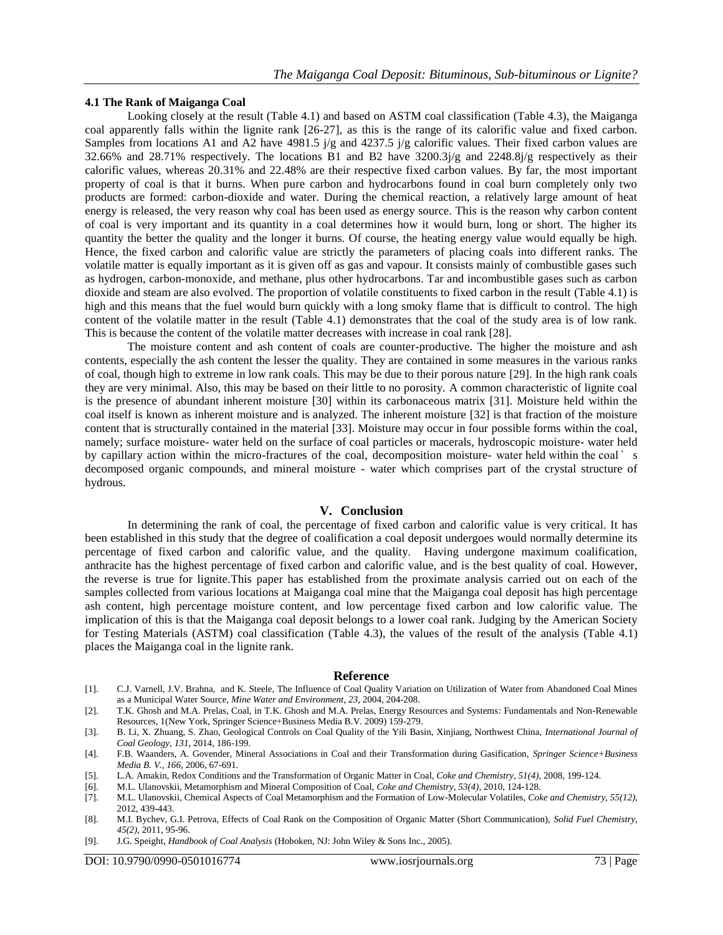#### **4.1 The Rank of Maiganga Coal**

Looking closely at the result (Table 4.1) and based on ASTM coal classification (Table 4.3), the Maiganga coal apparently falls within the lignite rank [26-27], as this is the range of its calorific value and fixed carbon. Samples from locations A1 and A2 have 4981.5 j/g and 4237.5 j/g calorific values. Their fixed carbon values are 32.66% and 28.71% respectively. The locations B1 and B2 have  $3200.3j/g$  and  $2248.8j/g$  respectively as their calorific values, whereas 20.31% and 22.48% are their respective fixed carbon values. By far, the most important property of coal is that it burns. When pure carbon and hydrocarbons found in coal burn completely only two products are formed: carbon-dioxide and water. During the chemical reaction, a relatively large amount of heat energy is released, the very reason why coal has been used as energy source. This is the reason why carbon content of coal is very important and its quantity in a coal determines how it would burn, long or short. The higher its quantity the better the quality and the longer it burns. Of course, the heating energy value would equally be high. Hence, the fixed carbon and calorific value are strictly the parameters of placing coals into different ranks. The volatile matter is equally important as it is given off as gas and vapour. It consists mainly of combustible gases such as hydrogen, carbon-monoxide, and methane, plus other hydrocarbons. Tar and incombustible gases such as carbon dioxide and steam are also evolved. The proportion of volatile constituents to fixed carbon in the result (Table 4.1) is high and this means that the fuel would burn quickly with a long smoky flame that is difficult to control. The high content of the volatile matter in the result (Table 4.1) demonstrates that the coal of the study area is of low rank. This is because the content of the volatile matter decreases with increase in coal rank [28].

The moisture content and ash content of coals are counter-productive. The higher the moisture and ash contents, especially the ash content the lesser the quality. They are contained in some measures in the various ranks of coal, though high to extreme in low rank coals. This may be due to their porous nature [29]. In the high rank coals they are very minimal. Also, this may be based on their little to no porosity. A common characteristic of lignite coal is the presence of abundant inherent moisture [30] within its carbonaceous matrix [31]. Moisture held within the coal itself is known as inherent moisture and is analyzed. The inherent moisture [32] is that fraction of the moisture content that is structurally contained in the material [33]. Moisture may occur in four possible forms within the coal, namely; surface moisture- water held on the surface of coal particles or macerals, hydroscopic moisture- water held by capillary action within the micro-fractures of the coal, decomposition moisture- water held within the coal ̕ s decomposed organic compounds, and mineral moisture - water which comprises part of the crystal structure of hydrous.

#### **V. Conclusion**

In determining the rank of coal, the percentage of fixed carbon and calorific value is very critical. It has been established in this study that the degree of coalification a coal deposit undergoes would normally determine its percentage of fixed carbon and calorific value, and the quality. Having undergone maximum coalification, anthracite has the highest percentage of fixed carbon and calorific value, and is the best quality of coal. However, the reverse is true for lignite.This paper has established from the proximate analysis carried out on each of the samples collected from various locations at Maiganga coal mine that the Maiganga coal deposit has high percentage ash content, high percentage moisture content, and low percentage fixed carbon and low calorific value. The implication of this is that the Maiganga coal deposit belongs to a lower coal rank. Judging by the American Society for Testing Materials (ASTM) coal classification (Table 4.3), the values of the result of the analysis (Table 4.1) places the Maiganga coal in the lignite rank.

#### **Reference**

- [1]. C.J. Varnell, J.V. Brahna, and K. Steele, The Influence of Coal Quality Variation on Utilization of Water from Abandoned Coal Mines as a Municipal Water Source, *Mine Water and Environment, 23*, 2004, 204-208.
- [2]. T.K. Ghosh and M.A. Prelas, Coal, in T.K. Ghosh and M.A. Prelas, Energy Resources and Systems: Fundamentals and Non-Renewable Resources, 1(New York, Springer Science+Business Media B.V. 2009) 159-279.
- [3]. B. Li, X. Zhuang, S. Zhao, Geological Controls on Coal Quality of the Yili Basin, Xinjiang, Northwest China, *International Journal of Coal Geology, 131*, 2014, 186-199.
- [4]. F.B. Waanders, A. Govender, Mineral Associations in Coal and their Transformation during Gasification, *Springer Science+Business Media B. V., 166,* 2006, 67-691.
- [5]. L.A. Amakin, Redox Conditions and the Transformation of Organic Matter in Coal, *Coke and Chemistry, 51(4),* 2008, 199-124.
- 
- [6]. M.L. Ulanovskii, Metamorphism and Mineral Composition of Coal, *Coke and Chemistry, 53(4)*, 2010, 124-128. [7]. M.L. Ulanovskii, Chemical Aspects of Coal Metamorphism and the Formation of Low-Molecular Volatiles, *Coke and Chemistry, 55(12),*  2012, 439-443.
- [8]. M.I. Bychev, G.I. Petrova, Effects of Coal Rank on the Composition of Organic Matter (Short Communication), *Solid Fuel Chemistry, 45(2),* 2011, 95-96.
- [9]. J.G. Speight, *Handbook of Coal Analysis* (Hoboken, NJ: John Wiley & Sons Inc., 2005).